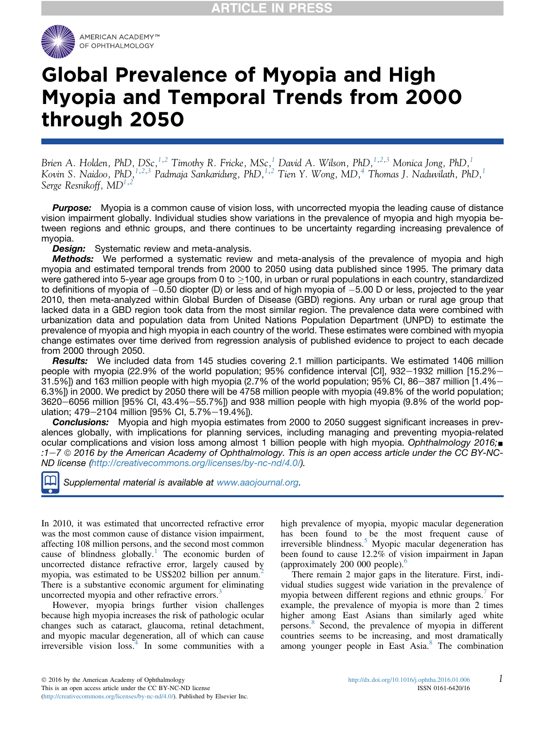

# Global Prevalence of Myopia and High Myopia and Temporal Trends from 2000 through 2050

Brien A. Holden, PhD, DSc,  $^{1,2}$  $^{1,2}$  $^{1,2}$  Timothy R. Fricke, MSc,  $^{1}$  David A. Wilson, PhD,  $^{1,2,3}$  $^{1,2,3}$  $^{1,2,3}$  Monica Jong, PhD,  $^{1}$ Kovin S. Naidoo, PhD, <sup>[1,2,3](#page-6-0)</sup> Padmaja Sankaridurg, PhD, <sup>[1,2](#page-6-0)</sup> Tien Y. Wong, MD, <sup>4</sup> Thomas J. Naduvilath, PhD, <sup>1</sup> Serge Resnikoff,  $MD^{1,2}$  $MD^{1,2}$  $MD^{1,2}$  $MD^{1,2}$  $MD^{1,2}$ 

**Purpose:** Myopia is a common cause of vision loss, with uncorrected myopia the leading cause of distance vision impairment globally. Individual studies show variations in the prevalence of myopia and high myopia between regions and ethnic groups, and there continues to be uncertainty regarding increasing prevalence of myopia.

**Design:** Systematic review and meta-analysis.

**Methods:** We performed a systematic review and meta-analysis of the prevalence of myopia and high myopia and estimated temporal trends from 2000 to 2050 using data published since 1995. The primary data were gathered into 5-year age groups from 0 to  $>$ 100, in urban or rural populations in each country, standardized to definitions of myopia of  $-0.50$  diopter (D) or less and of high myopia of  $-5.00$  D or less, projected to the year 2010, then meta-analyzed within Global Burden of Disease (GBD) regions. Any urban or rural age group that lacked data in a GBD region took data from the most similar region. The prevalence data were combined with urbanization data and population data from United Nations Population Department (UNPD) to estimate the prevalence of myopia and high myopia in each country of the world. These estimates were combined with myopia change estimates over time derived from regression analysis of published evidence to project to each decade from 2000 through 2050.

Results: We included data from 145 studies covering 2.1 million participants. We estimated 1406 million people with myopia (22.9% of the world population; 95% confidence interval [CI], 932-1932 million [15.2%-31.5%]) and 163 million people with high myopia (2.7% of the world population; 95% CI, 86–387 million [1.4%– 6.3%]) in 2000. We predict by 2050 there will be 4758 million people with myopia (49.8% of the world population; 3620-6056 million [95% CI, 43.4%-55.7%]) and 938 million people with high myopia (9.8% of the world population; 479-2104 million [95% CI, 5.7%-19.4%]).

**Conclusions:** Myopia and high myopia estimates from 2000 to 2050 suggest significant increases in prevalences globally, with implications for planning services, including managing and preventing myopia-related ocular complications and vision loss among almost 1 billion people with high myopia. Ophthalmology 2016; :1-7  $\odot$  2016 by the American Academy of Ophthalmology. This is an open access article under the CC BY-NC-ND license [\(http://creativecommons.org/licenses/by-nc-nd/4.0/\)](http://creativecommons.org/licenses/by-nc-nd/4.0/).



Supplemental material is available at [www.aaojournal.org.](www.aaojournal.org)

In 2010, it was estimated that uncorrected refractive error was the most common cause of distance vision impairment, affecting 108 million persons, and the second most common cause of blindness globally.<sup>[1](#page-5-0)</sup> The economic burden of uncorrected distance refractive error, largely caused by myopia, was estimated to be US\$[2](#page-5-0)02 billion per annum.<sup>2</sup> There is a substantive economic argument for eliminating uncorrected myopia and other refractive errors.<sup>[3](#page-5-0)</sup>

However, myopia brings further vision challenges because high myopia increases the risk of pathologic ocular changes such as cataract, glaucoma, retinal detachment, and myopic macular degeneration, all of which can cause irreversible vision loss.<sup>[4](#page-5-0)</sup> In some communities with a high prevalence of myopia, myopic macular degeneration has been found to be the most frequent cause of irreversible blindness.<sup>[5](#page-5-0)</sup> Myopic macular degeneration has been found to cause 12.2% of vision impairment in Japan (approximately 200 000 people).<sup>[6](#page-5-0)</sup>

There remain 2 major gaps in the literature. First, individual studies suggest wide variation in the prevalence of myopia between different regions and ethnic groups.<sup>[7](#page-5-0)</sup> For example, the prevalence of myopia is more than 2 times higher among East Asians than similarly aged white persons.[8](#page-5-0) Second, the prevalence of myopia in different countries seems to be increasing, and most dramatically among younger people in East Asia.[8](#page-5-0) The combination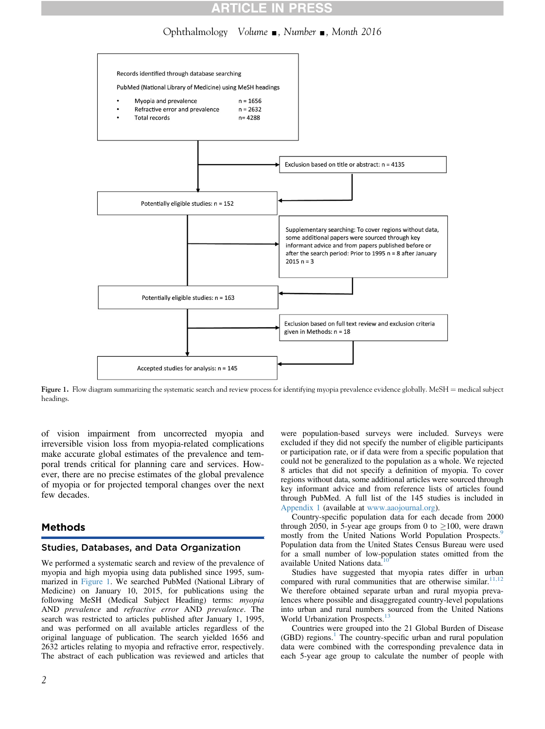# Ophthalmology Volume  $\Box$ , Number  $\Box$ , Month 2016



Figure 1. Flow diagram summarizing the systematic search and review process for identifying myopia prevalence evidence globally. MeSH = medical subject headings.

of vision impairment from uncorrected myopia and irreversible vision loss from myopia-related complications make accurate global estimates of the prevalence and temporal trends critical for planning care and services. However, there are no precise estimates of the global prevalence of myopia or for projected temporal changes over the next few decades.

# Methods

### Studies, Databases, and Data Organization

We performed a systematic search and review of the prevalence of myopia and high myopia using data published since 1995, summarized in Figure 1. We searched PubMed (National Library of Medicine) on January 10, 2015, for publications using the following MeSH (Medical Subject Heading) terms: myopia AND prevalence and refractive error AND prevalence. The search was restricted to articles published after January 1, 1995, and was performed on all available articles regardless of the original language of publication. The search yielded 1656 and 2632 articles relating to myopia and refractive error, respectively. The abstract of each publication was reviewed and articles that

were population-based surveys were included. Surveys were excluded if they did not specify the number of eligible participants or participation rate, or if data were from a specific population that could not be generalized to the population as a whole. We rejected 8 articles that did not specify a definition of myopia. To cover regions without data, some additional articles were sourced through key informant advice and from reference lists of articles found through PubMed. A full list of the 145 studies is included in Appendix 1 (available at [www.aaojournal.org](http://www.aaojournal.org)).

Country-specific population data for each decade from 2000 through 2050, in 5-year age groups from 0 to  $\geq$ 100, were drawn mostly from the United Nations World Population Prospects.<sup>[9](#page-5-0)</sup> Population data from the United States Census Bureau were used for a small number of low-population states omitted from the available United Nations data.

Studies have suggested that myopia rates differ in urban compared with rural communities that are otherwise similar. $11,12$ We therefore obtained separate urban and rural myopia prevalences where possible and disaggregated country-level populations into urban and rural numbers sourced from the United Nations World Urbanization Prospects.<sup>1</sup>

Countries were grouped into the 21 Global Burden of Disease  $(GBD)$  regions.<sup>[1](#page-5-0)</sup> The country-specific urban and rural population data were combined with the corresponding prevalence data in each 5-year age group to calculate the number of people with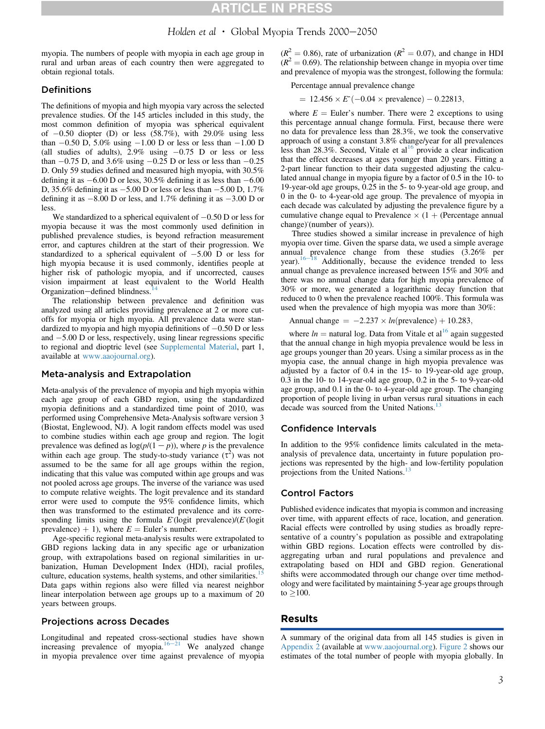# Holden et al  $\cdot$  Global Myopia Trends 2000-2050

myopia. The numbers of people with myopia in each age group in rural and urban areas of each country then were aggregated to obtain regional totals.

### **Definitions**

The definitions of myopia and high myopia vary across the selected prevalence studies. Of the 145 articles included in this study, the most common definition of myopia was spherical equivalent of  $-0.50$  diopter (D) or less (58.7%), with 29.0% using less than  $-0.50$  D, 5.0% using  $-1.00$  D or less or less than  $-1.00$  D (all studies of adults),  $2.9\%$  using  $-0.75$  D or less or less than  $-0.75$  D, and 3.6% using  $-0.25$  D or less or less than  $-0.25$ D. Only 59 studies defined and measured high myopia, with 30.5% defining it as  $-6.00$  D or less, 30.5% defining it as less than  $-6.00$ D, 35.6% defining it as  $-5.00$  D or less or less than  $-5.00$  D, 1.7% defining it as  $-8.00$  D or less, and 1.7% defining it as  $-3.00$  D or less.

We standardized to a spherical equivalent of  $-0.50$  D or less for myopia because it was the most commonly used definition in published prevalence studies, is beyond refraction measurement error, and captures children at the start of their progression. We standardized to a spherical equivalent of  $-5.00$  D or less for high myopia because it is used commonly, identifies people at higher risk of pathologic myopia, and if uncorrected, causes vision impairment at least equivalent to the World Health Organization-defined blindness.<sup>1</sup>

The relationship between prevalence and definition was analyzed using all articles providing prevalence at 2 or more cutoffs for myopia or high myopia. All prevalence data were standardized to myopia and high myopia definitions of  $-0.50$  D or less and  $-5.00$  D or less, respectively, using linear regressions specific to regional and dioptric level (see Supplemental Material, part 1, available at [www.aaojournal.org\)](http://www.aaojournal.org).

### Meta-analysis and Extrapolation

Meta-analysis of the prevalence of myopia and high myopia within each age group of each GBD region, using the standardized myopia definitions and a standardized time point of 2010, was performed using Comprehensive Meta-Analysis software version 3 (Biostat, Englewood, NJ). A logit random effects model was used to combine studies within each age group and region. The logit prevalence was defined as  $log(p/(1-p))$ , where p is the prevalence within each age group. The study-to-study variance  $(\tau^2)$  was not assumed to be the same for all age groups within the region, indicating that this value was computed within age groups and was not pooled across age groups. The inverse of the variance was used to compute relative weights. The logit prevalence and its standard error were used to compute the 95% confidence limits, which then was transformed to the estimated prevalence and its corresponding limits using the formula  $E$  (logit prevalence)/( $E$  (logit prevalence) + 1), where  $E =$  Euler's number.

Age-specific regional meta-analysis results were extrapolated to GBD regions lacking data in any specific age or urbanization group, with extrapolations based on regional similarities in urbanization, Human Development Index (HDI), racial profiles, culture, education systems, health systems, and other similarities.<sup>[15](#page-6-0)</sup> Data gaps within regions also were filled via nearest neighbor linear interpolation between age groups up to a maximum of 20 years between groups.

#### Projections across Decades

Longitudinal and repeated cross-sectional studies have shown increasing prevalence of myopia.<sup>[16](#page-6-0)-[21](#page-6-0)</sup> We analyzed change in myopia prevalence over time against prevalence of myopia

 $(R^{2} = 0.86)$ , rate of urbanization  $(R^{2} = 0.07)$ , and change in HDI  $(R^2 = 0.69)$ . The relationship between change in myopia over time and prevalence of myopia was the strongest, following the formula:

Percentage annual prevalence change

 $= 12.456 \times E^*(-0.04 \times \text{prevalence}) - 0.22813,$ 

where  $E =$  Euler's number. There were 2 exceptions to using this percentage annual change formula. First, because there were no data for prevalence less than 28.3%, we took the conservative approach of using a constant 3.8% change/year for all prevalences less than  $28.3\%$ . Second, Vitale et al<sup>[16](#page-6-0)</sup> provide a clear indication that the effect decreases at ages younger than 20 years. Fitting a 2-part linear function to their data suggested adjusting the calculated annual change in myopia figure by a factor of 0.5 in the 10- to 19-year-old age groups, 0.25 in the 5- to 9-year-old age group, and 0 in the 0- to 4-year-old age group. The prevalence of myopia in each decade was calculated by adjusting the prevalence figure by a cumulative change equal to Prevalence  $\times$  (1 + (Percentage annual change) (number of years)).

Three studies showed a similar increase in prevalence of high myopia over time. Given the sparse data, we used a simple average annual prevalence change from these studies (3.26% per year). $16-18$  $16-18$  $16-18$  Additionally, because the evidence trended to less annual change as prevalence increased between 15% and 30% and there was no annual change data for high myopia prevalence of 30% or more, we generated a logarithmic decay function that reduced to 0 when the prevalence reached 100%. This formula was used when the prevalence of high myopia was more than 30%:

Annual change = 
$$
-2.237 \times ln(\text{prevalence}) + 10.283
$$
,

where  $ln =$  natural log. Data from Vitale et al<sup>[16](#page-6-0)</sup> again suggested that the annual change in high myopia prevalence would be less in age groups younger than 20 years. Using a similar process as in the myopia case, the annual change in high myopia prevalence was adjusted by a factor of 0.4 in the 15- to 19-year-old age group, 0.3 in the 10- to 14-year-old age group, 0.2 in the 5- to 9-year-old age group, and 0.1 in the 0- to 4-year-old age group. The changing proportion of people living in urban versus rural situations in each decade was sourced from the United Nations.<sup>[13](#page-5-0)</sup>

#### Confidence Intervals

In addition to the 95% confidence limits calculated in the metaanalysis of prevalence data, uncertainty in future population projections was represented by the high- and low-fertility population projections from the United Nations.

#### Control Factors

Published evidence indicates that myopia is common and increasing over time, with apparent effects of race, location, and generation. Racial effects were controlled by using studies as broadly representative of a country's population as possible and extrapolating within GBD regions. Location effects were controlled by disaggregating urban and rural populations and prevalence and extrapolating based on HDI and GBD region. Generational shifts were accommodated through our change over time methodology and were facilitated by maintaining 5-year age groups through  $to$   $>100$ .

# Results

A summary of the original data from all 145 studies is given in Appendix 2 (available at [www.aaojournal.org\)](http://www.aaojournal.org). [Figure 2](#page-3-0) shows our estimates of the total number of people with myopia globally. In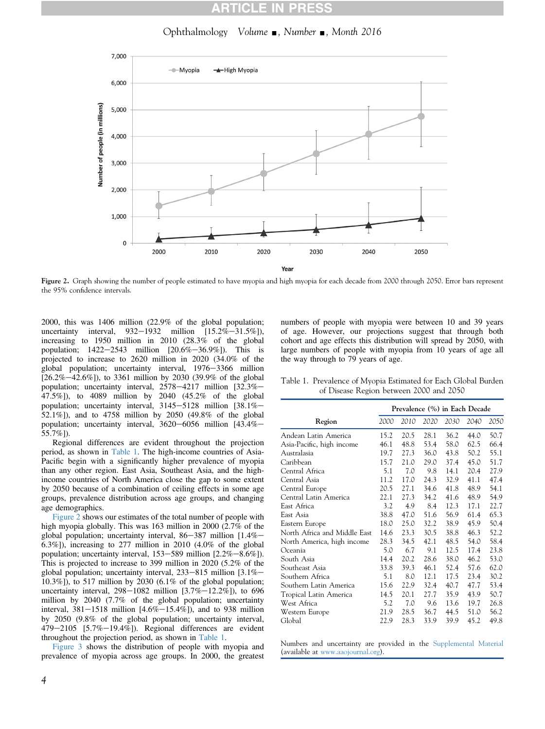# Ophthalmology Volume  $\Box$ , Number  $\Box$ , Month 2016

<span id="page-3-0"></span>

Figure 2. Graph showing the number of people estimated to have myopia and high myopia for each decade from 2000 through 2050. Error bars represent the 95% confidence intervals.

2000, this was 1406 million (22.9% of the global population; uncertainty interval,  $932-1932$  million  $[15.2\% - 31.5\%]$ ), increasing to 1950 million in 2010 (28.3% of the global population;  $1422-2543$  million  $[20.6\% - 36.9\%]$ . This is projected to increase to 2620 million in 2020 (34.0% of the global population; uncertainty interval, 1976-3366 million  $[26.2\% - 42.6\%]$ ), to 3361 million by 2030 (39.9% of the global population; uncertainty interval,  $2578-4217$  million  $[32.3\% -$ 47.5%]), to 4089 million by 2040 (45.2% of the global population; uncertainty interval,  $3145-5128$  million  $[38.1%]$ 52.1%]), and to 4758 million by 2050 (49.8% of the global population; uncertainty interval,  $3620-6056$  million  $[43.4\% -$ 55.7%]).

Regional differences are evident throughout the projection period, as shown in Table 1. The high-income countries of Asia-Pacific begin with a significantly higher prevalence of myopia than any other region. East Asia, Southeast Asia, and the highincome countries of North America close the gap to some extent by 2050 because of a combination of ceiling effects in some age groups, prevalence distribution across age groups, and changing age demographics.

Figure 2 shows our estimates of the total number of people with high myopia globally. This was 163 million in 2000 (2.7% of the global population; uncertainty interval,  $86-387$  million  $[1.4\% -]$ 6.3%]), increasing to 277 million in 2010 (4.0% of the global population; uncertainty interval,  $153-589$  million  $[2.2\% - 8.6\%]$ ). This is projected to increase to 399 million in 2020 (5.2% of the global population; uncertainty interval,  $233-815$  million  $[3.1\% -]$  $(10.3\%)$ , to 517 million by 2030 (6.1% of the global population; uncertainty interval,  $298-1082$  million  $[3.7\% -12.2\%]$ , to 696 million by 2040 (7.7% of the global population; uncertainty interval,  $381-1518$  million  $[4.6\% -15.4\%]$ , and to 938 million by 2050 (9.8% of the global population; uncertainty interval, 479 $-2105$  [5.7% $-19.4\%$ ]). Regional differences are evident throughout the projection period, as shown in Table 1.

[Figure 3](#page-4-0) shows the distribution of people with myopia and prevalence of myopia across age groups. In 2000, the greatest

numbers of people with myopia were between 10 and 39 years of age. However, our projections suggest that through both cohort and age effects this distribution will spread by 2050, with large numbers of people with myopia from 10 years of age all the way through to 79 years of age.

Table 1. Prevalence of Myopia Estimated for Each Global Burden of Disease Region between 2000 and 2050

|                              | Prevalence (%) in Each Decade |      |      |      |      |      |
|------------------------------|-------------------------------|------|------|------|------|------|
| Region                       | 2000                          | 2010 | 2020 | 2030 | 2040 | 2050 |
| Andean Latin America         | 15.2                          | 20.5 | 28.1 | 36.2 | 44.0 | 50.7 |
| Asia-Pacific, high income    | 46.1                          | 48.8 | 53.4 | 58.0 | 62.5 | 66.4 |
| Australasia                  | 19.7                          | 27.3 | 36.0 | 43.8 | 50.2 | 55.1 |
| Caribbean                    | 15.7                          | 21.0 | 29.0 | 37.4 | 45.0 | 51.7 |
| Central Africa               | 5.1                           | 7.0  | 9.8  | 14.1 | 20.4 | 27.9 |
| Central Asia                 | 11.2                          | 17.0 | 24.3 | 32.9 | 41.1 | 47.4 |
| Central Europe               | 20.5                          | 27.1 | 34.6 | 41.8 | 48.9 | 54.1 |
| Central Latin America        | 22.1                          | 27.3 | 34.2 | 41.6 | 48.9 | 54.9 |
| East Africa                  | 3.2                           | 4.9  | 8.4  | 12.3 | 17.1 | 22.7 |
| East Asia                    | 38.8                          | 47.0 | 51.6 | 56.9 | 61.4 | 65.3 |
| Eastern Europe               | 18.0                          | 25.0 | 32.2 | 38.9 | 45.9 | 50.4 |
| North Africa and Middle East | 14.6                          | 23.3 | 30.5 | 38.8 | 46.3 | 52.2 |
| North America, high income   | 28.3                          | 34.5 | 42.1 | 48.5 | 54.0 | 58.4 |
| Oceania                      | 5.0                           | 6.7  | 9.1  | 12.5 | 17.4 | 23.8 |
| South Asia                   | 14.4                          | 20.2 | 28.6 | 38.0 | 46.2 | 53.0 |
| Southeast Asia               | 33.8                          | 39.3 | 46.1 | 52.4 | 57.6 | 62.0 |
| Southern Africa              | 5.1                           | 8.0  | 12.1 | 17.5 | 23.4 | 30.2 |
| Southern Latin America       | 15.6                          | 22.9 | 32.4 | 40.7 | 47.7 | 53.4 |
| Tropical Latin America       | 14.5                          | 20.1 | 27.7 | 35.9 | 43.9 | 50.7 |
| West Africa                  | 5.2                           | 7.0  | 9.6  | 13.6 | 19.7 | 26.8 |
| Western Europe               | 21.9                          | 28.5 | 36.7 | 44.5 | 51.0 | 56.2 |
| Global                       | 22.9                          | 28.3 | 33.9 | 39.9 | 45.2 | 49.8 |

Numbers and uncertainty are provided in the Supplemental Material (available at [www.aaojournal.org\)](http://www.aaojournal.org).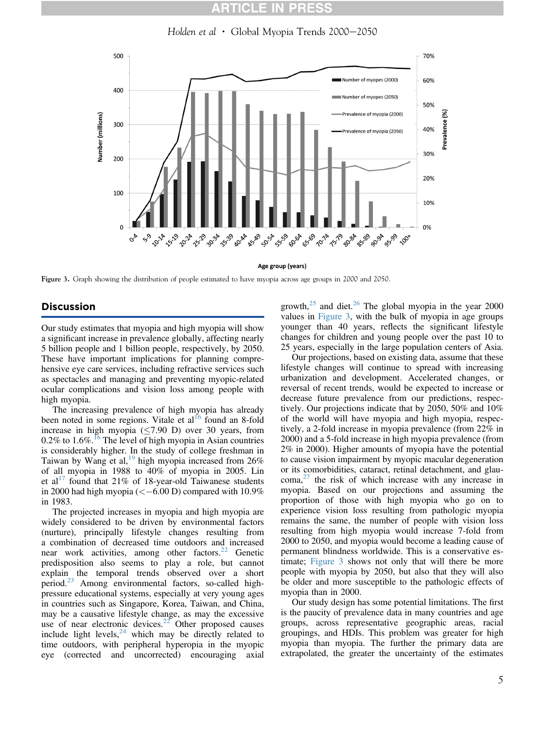Holden et al  $\cdot$  Global Myopia Trends 2000–2050

<span id="page-4-0"></span>

Age group (years)

Figure 3. Graph showing the distribution of people estimated to have myopia across age groups in 2000 and 2050.

# Discussion

Our study estimates that myopia and high myopia will show a significant increase in prevalence globally, affecting nearly 5 billion people and 1 billion people, respectively, by 2050. These have important implications for planning comprehensive eye care services, including refractive services such as spectacles and managing and preventing myopic-related ocular complications and vision loss among people with high myopia.

The increasing prevalence of high myopia has already been noted in some regions. Vitale et  $al<sup>16</sup>$  $al<sup>16</sup>$  $al<sup>16</sup>$  found an 8-fold increase in high myopia  $(\leq 7.90 \text{ D})$  over 30 years, from  $0.2\%$  to  $1.6\%$ .<sup>[16](#page-6-0)</sup> The level of high myopia in Asian countries is considerably higher. In the study of college freshman in Taiwan by Wang et al,<sup>[19](#page-6-0)</sup> high myopia increased from  $26\%$ of all myopia in 1988 to 40% of myopia in 2005. Lin et al<sup>[17](#page-6-0)</sup> found that 21% of 18-year-old Taiwanese students in 2000 had high myopia ( $\lt$  -6.00 D) compared with 10.9% in 1983.

The projected increases in myopia and high myopia are widely considered to be driven by environmental factors (nurture), principally lifestyle changes resulting from a combination of decreased time outdoors and increased near work activities, among other factors.<sup>[22](#page-6-0)</sup> Genetic predisposition also seems to play a role, but cannot explain the temporal trends observed over a short period.[23](#page-6-0) Among environmental factors, so-called highpressure educational systems, especially at very young ages in countries such as Singapore, Korea, Taiwan, and China, may be a causative lifestyle change, as may the excessive use of near electronic devices. $22$  Other proposed causes include light levels, $24$  which may be directly related to time outdoors, with peripheral hyperopia in the myopic eye (corrected and uncorrected) encouraging axial

growth, $25$  and diet.<sup>[26](#page-6-0)</sup> The global myopia in the year 2000 values in Figure 3, with the bulk of myopia in age groups younger than 40 years, reflects the significant lifestyle changes for children and young people over the past 10 to 25 years, especially in the large population centers of Asia.

Our projections, based on existing data, assume that these lifestyle changes will continue to spread with increasing urbanization and development. Accelerated changes, or reversal of recent trends, would be expected to increase or decrease future prevalence from our predictions, respectively. Our projections indicate that by 2050, 50% and 10% of the world will have myopia and high myopia, respectively, a 2-fold increase in myopia prevalence (from 22% in 2000) and a 5-fold increase in high myopia prevalence (from 2% in 2000). Higher amounts of myopia have the potential to cause vision impairment by myopic macular degeneration or its comorbidities, cataract, retinal detachment, and glau- $\text{coma}^{27}$  $\text{coma}^{27}$  $\text{coma}^{27}$  the risk of which increase with any increase in myopia. Based on our projections and assuming the proportion of those with high myopia who go on to experience vision loss resulting from pathologic myopia remains the same, the number of people with vision loss resulting from high myopia would increase 7-fold from 2000 to 2050, and myopia would become a leading cause of permanent blindness worldwide. This is a conservative estimate; Figure 3 shows not only that will there be more people with myopia by 2050, but also that they will also be older and more susceptible to the pathologic effects of myopia than in 2000.

Our study design has some potential limitations. The first is the paucity of prevalence data in many countries and age groups, across representative geographic areas, racial groupings, and HDIs. This problem was greater for high myopia than myopia. The further the primary data are extrapolated, the greater the uncertainty of the estimates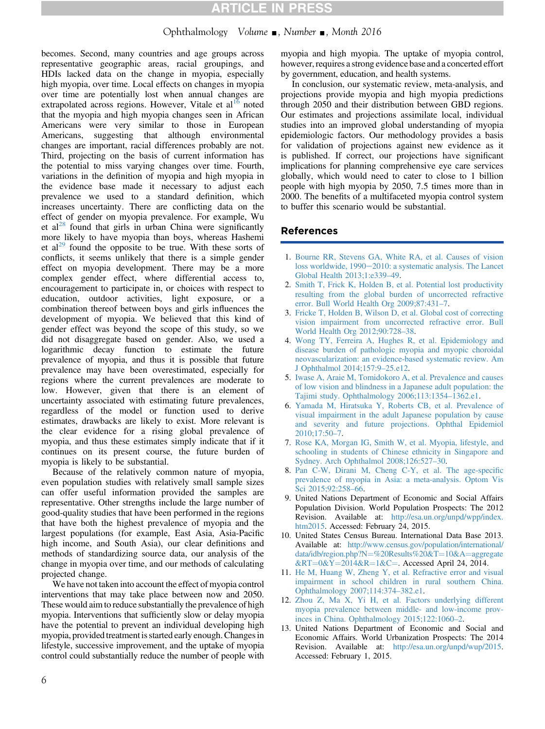# Ophthalmology Volume  $\blacksquare$ , Number  $\blacksquare$ , Month 2016

<span id="page-5-0"></span>becomes. Second, many countries and age groups across representative geographic areas, racial groupings, and HDIs lacked data on the change in myopia, especially high myopia, over time. Local effects on changes in myopia over time are potentially lost when annual changes are extrapolated across regions. However, Vitale et  $al<sup>16</sup>$  $al<sup>16</sup>$  $al<sup>16</sup>$  noted that the myopia and high myopia changes seen in African Americans were very similar to those in European Americans, suggesting that although environmental changes are important, racial differences probably are not. Third, projecting on the basis of current information has the potential to miss varying changes over time. Fourth, variations in the definition of myopia and high myopia in the evidence base made it necessary to adjust each prevalence we used to a standard definition, which increases uncertainty. There are conflicting data on the effect of gender on myopia prevalence. For example, Wu et al<sup>[28](#page-6-0)</sup> found that girls in urban China were significantly more likely to have myopia than boys, whereas Hashemi et  $al^{29}$  $al^{29}$  $al^{29}$  found the opposite to be true. With these sorts of conflicts, it seems unlikely that there is a simple gender effect on myopia development. There may be a more complex gender effect, where differential access to, encouragement to participate in, or choices with respect to education, outdoor activities, light exposure, or a combination thereof between boys and girls influences the development of myopia. We believed that this kind of gender effect was beyond the scope of this study, so we did not disaggregate based on gender. Also, we used a logarithmic decay function to estimate the future prevalence of myopia, and thus it is possible that future prevalence may have been overestimated, especially for regions where the current prevalences are moderate to low. However, given that there is an element of uncertainty associated with estimating future prevalences, regardless of the model or function used to derive estimates, drawbacks are likely to exist. More relevant is the clear evidence for a rising global prevalence of myopia, and thus these estimates simply indicate that if it continues on its present course, the future burden of myopia is likely to be substantial.

Because of the relatively common nature of myopia, even population studies with relatively small sample sizes can offer useful information provided the samples are representative. Other strengths include the large number of good-quality studies that have been performed in the regions that have both the highest prevalence of myopia and the largest populations (for example, East Asia, Asia-Pacific high income, and South Asia), our clear definitions and methods of standardizing source data, our analysis of the change in myopia over time, and our methods of calculating projected change.

We have not taken into account the effect of myopia control interventions that may take place between now and 2050. These would aim to reduce substantially the prevalence of high myopia. Interventions that sufficiently slow or delay myopia have the potential to prevent an individual developing high myopia, provided treatment is started early enough. Changes in lifestyle, successive improvement, and the uptake of myopia control could substantially reduce the number of people with

myopia and high myopia. The uptake of myopia control, however, requires a strong evidence base and a concerted effort by government, education, and health systems.

In conclusion, our systematic review, meta-analysis, and projections provide myopia and high myopia predictions through 2050 and their distribution between GBD regions. Our estimates and projections assimilate local, individual studies into an improved global understanding of myopia epidemiologic factors. Our methodology provides a basis for validation of projections against new evidence as it is published. If correct, our projections have significant implications for planning comprehensive eye care services globally, which would need to cater to close to 1 billion people with high myopia by 2050, 7.5 times more than in 2000. The benefits of a multifaceted myopia control system to buffer this scenario would be substantial.

# References

- 1. [Bourne RR, Stevens GA, White RA, et al. Causes of vision](http://refhub.elsevier.com/S0161-6420(16)00025-7/sref1) [loss worldwide, 1990](http://refhub.elsevier.com/S0161-6420(16)00025-7/sref1)-[2010: a systematic analysis. The Lancet](http://refhub.elsevier.com/S0161-6420(16)00025-7/sref1) [Global Health 2013;1:e339](http://refhub.elsevier.com/S0161-6420(16)00025-7/sref1)–49.
- 2. [Smith T, Frick K, Holden B, et al. Potential lost productivity](http://refhub.elsevier.com/S0161-6420(16)00025-7/sref2) [resulting from the global burden of uncorrected refractive](http://refhub.elsevier.com/S0161-6420(16)00025-7/sref2) [error. Bull World Health Org 2009;87:431](http://refhub.elsevier.com/S0161-6420(16)00025-7/sref2)–7.
- 3. [Fricke T, Holden B, Wilson D, et al. Global cost of correcting](http://refhub.elsevier.com/S0161-6420(16)00025-7/sref3) [vision impairment from uncorrected refractive error. Bull](http://refhub.elsevier.com/S0161-6420(16)00025-7/sref3) [World Health Org 2012;90:728](http://refhub.elsevier.com/S0161-6420(16)00025-7/sref3)–38.
- 4. [Wong TY, Ferreira A, Hughes R, et al. Epidemiology and](http://refhub.elsevier.com/S0161-6420(16)00025-7/sref4) [disease burden of pathologic myopia and myopic choroidal](http://refhub.elsevier.com/S0161-6420(16)00025-7/sref4) [neovascularization: an evidence-based systematic review. Am](http://refhub.elsevier.com/S0161-6420(16)00025-7/sref4) [J Ophthalmol 2014;157:9](http://refhub.elsevier.com/S0161-6420(16)00025-7/sref4)–25.e12.
- 5. [Iwase A, Araie M, Tomidokoro A, et al. Prevalence and causes](http://refhub.elsevier.com/S0161-6420(16)00025-7/sref5) [of low vision and blindness in a Japanese adult population: the](http://refhub.elsevier.com/S0161-6420(16)00025-7/sref5) [Tajimi study. Ophthalmology 2006;113:1354](http://refhub.elsevier.com/S0161-6420(16)00025-7/sref5)–1362.e1.
- 6. [Yamada M, Hiratsuka Y, Roberts CB, et al. Prevalence of](http://refhub.elsevier.com/S0161-6420(16)00025-7/sref6) [visual impairment in the adult Japanese population by cause](http://refhub.elsevier.com/S0161-6420(16)00025-7/sref6) [and severity and future projections. Ophthal Epidemiol](http://refhub.elsevier.com/S0161-6420(16)00025-7/sref6) [2010;17:50](http://refhub.elsevier.com/S0161-6420(16)00025-7/sref6)–7.
- 7. [Rose KA, Morgan IG, Smith W, et al. Myopia, lifestyle, and](http://refhub.elsevier.com/S0161-6420(16)00025-7/sref7) [schooling in students of Chinese ethnicity in Singapore and](http://refhub.elsevier.com/S0161-6420(16)00025-7/sref7) [Sydney. Arch Ophthalmol 2008;126:527](http://refhub.elsevier.com/S0161-6420(16)00025-7/sref7)–30.
- 8. [Pan C-W, Dirani M, Cheng C-Y, et al. The age-speci](http://refhub.elsevier.com/S0161-6420(16)00025-7/sref8)fic [prevalence of myopia in Asia: a meta-analysis. Optom Vis](http://refhub.elsevier.com/S0161-6420(16)00025-7/sref8) [Sci 2015;92:258](http://refhub.elsevier.com/S0161-6420(16)00025-7/sref8)–66.
- 9. United Nations Department of Economic and Social Affairs Population Division. World Population Prospects: The 2012 Revision. Available at: [http://esa.un.org/unpd/wpp/index.](http://esa.un.org/unpd/wpp/index.htm2015) [htm2015.](http://esa.un.org/unpd/wpp/index.htm2015) Accessed: February 24, 2015.
- 10. United States Census Bureau. International Data Base 2013. Available at: [http://www.census.gov/population/international/](http://www.census.gov/population/international/data/idb/region.php?N=%20Results%20&T=10&A=aggregate&RT=0&Y=2014&R=1&C=) [data/idb/region.php?N](http://www.census.gov/population/international/data/idb/region.php?N=%20Results%20&T=10&A=aggregate&RT=0&Y=2014&R=1&C=)=[%20Results%20&T](http://www.census.gov/population/international/data/idb/region.php?N=%20Results%20&T=10&A=aggregate&RT=0&Y=2014&R=1&C=)=[10&A](http://www.census.gov/population/international/data/idb/region.php?N=%20Results%20&T=10&A=aggregate&RT=0&Y=2014&R=1&C=)=[aggregate](http://www.census.gov/population/international/data/idb/region.php?N=%20Results%20&T=10&A=aggregate&RT=0&Y=2014&R=1&C=)  $&RT=0&Y=2014&R=1&C=$  $&RT=0&Y=2014&R=1&C=$  $&RT=0&Y=2014&R=1&C=$  $&RT=0&Y=2014&R=1&C=$  $&RT=0&Y=2014&R=1&C=$  $&RT=0&Y=2014&R=1&C=$  $&RT=0&Y=2014&R=1&C=$  $&RT=0&Y=2014&R=1&C=$ . Accessed April 24, 2014.
- 11. [He M, Huang W, Zheng Y, et al. Refractive error and visual](http://refhub.elsevier.com/S0161-6420(16)00025-7/sref11) [impairment in school children in rural southern China.](http://refhub.elsevier.com/S0161-6420(16)00025-7/sref11) [Ophthalmology 2007;114:374](http://refhub.elsevier.com/S0161-6420(16)00025-7/sref11)–382.e1.
- 12. [Zhou Z, Ma X, Yi H, et al. Factors underlying different](http://refhub.elsevier.com/S0161-6420(16)00025-7/sref12) [myopia prevalence between middle- and low-income prov](http://refhub.elsevier.com/S0161-6420(16)00025-7/sref12)[inces in China. Ophthalmology 2015;122:1060](http://refhub.elsevier.com/S0161-6420(16)00025-7/sref12)–2.
- 13. United Nations Department of Economic and Social and Economic Affairs. World Urbanization Prospects: The 2014 Revision. Available at: <http://esa.un.org/unpd/wup/2015>. Accessed: February 1, 2015.